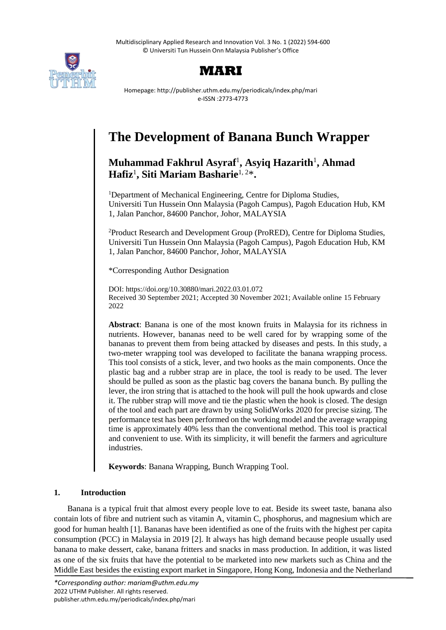Multidisciplinary Applied Research and Innovation Vol. 3 No. 1 (2022) 594-600 © Universiti Tun Hussein Onn Malaysia Publisher's Office





Homepage: http://publisher.uthm.edu.my/periodicals/index.php/mari e-ISSN :2773-4773

# **The Development of Banana Bunch Wrapper**

# **Muhammad Fakhrul Asyraf**<sup>1</sup> **, Asyiq Hazarith**<sup>1</sup> **, Ahmad Hafiz**<sup>1</sup> **, Siti Mariam Basharie**1, 2\***.**

<sup>1</sup>Department of Mechanical Engineering, Centre for Diploma Studies, Universiti Tun Hussein Onn Malaysia (Pagoh Campus), Pagoh Education Hub, KM 1, Jalan Panchor, 84600 Panchor, Johor, MALAYSIA

<sup>2</sup>Product Research and Development Group (ProRED), Centre for Diploma Studies, Universiti Tun Hussein Onn Malaysia (Pagoh Campus), Pagoh Education Hub, KM 1, Jalan Panchor, 84600 Panchor, Johor, MALAYSIA

\*Corresponding Author Designation

DOI: https://doi.org/10.30880/mari.2022.03.01.072 Received 30 September 2021; Accepted 30 November 2021; Available online 15 February 2022

**Abstract**: Banana is one of the most known fruits in Malaysia for its richness in nutrients. However, bananas need to be well cared for by wrapping some of the bananas to prevent them from being attacked by diseases and pests. In this study, a two-meter wrapping tool was developed to facilitate the banana wrapping process. This tool consists of a stick, lever, and two hooks as the main components. Once the plastic bag and a rubber strap are in place, the tool is ready to be used. The lever should be pulled as soon as the plastic bag covers the banana bunch. By pulling the lever, the iron string that is attached to the hook will pull the hook upwards and close it. The rubber strap will move and tie the plastic when the hook is closed. The design of the tool and each part are drawn by using SolidWorks 2020 for precise sizing. The performance test has been performed on the working model and the average wrapping time is approximately 40% less than the conventional method. This tool is practical and convenient to use. With its simplicity, it will benefit the farmers and agriculture industries.

**Keywords**: Banana Wrapping, Bunch Wrapping Tool.

# **1. Introduction**

Banana is a typical fruit that almost every people love to eat. Beside its sweet taste, banana also contain lots of fibre and nutrient such as vitamin A, vitamin C, phosphorus, and magnesium which are good for human health [1]. Bananas have been identified as one of the fruits with the highest per capita consumption (PCC) in Malaysia in 2019 [2]. It always has high demand because people usually used banana to make dessert, cake, banana fritters and snacks in mass production. In addition, it was listed as one of the six fruits that have the potential to be marketed into new markets such as China and the Middle East besides the existing export market in Singapore, Hong Kong, Indonesia and the Netherland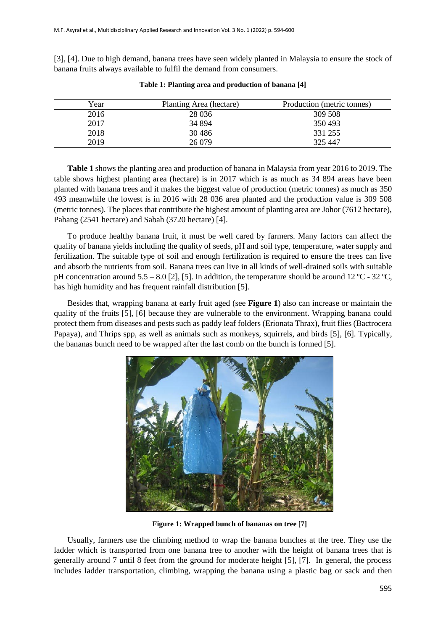[3], [4]. Due to high demand, banana trees have seen widely planted in Malaysia to ensure the stock of banana fruits always available to fulfil the demand from consumers.

| Year | Planting Area (hectare) | Production (metric tonnes) |
|------|-------------------------|----------------------------|
| 2016 | 28 0 36                 | 309 508                    |
| 2017 | 34 894                  | 350493                     |
| 2018 | 30 4 86                 | 331 255                    |
| 2019 | 26 079                  | 325 447                    |

**Table 1: Planting area and production of banana [4]**

**Table 1** shows the planting area and production of banana in Malaysia from year 2016 to 2019. The table shows highest planting area (hectare) is in 2017 which is as much as 34 894 areas have been planted with banana trees and it makes the biggest value of production (metric tonnes) as much as 350 493 meanwhile the lowest is in 2016 with 28 036 area planted and the production value is 309 508 (metric tonnes). The places that contribute the highest amount of planting area are Johor (7612 hectare), Pahang (2541 hectare) and Sabah (3720 hectare) [4].

To produce healthy banana fruit, it must be well cared by farmers. Many factors can affect the quality of banana yields including the quality of seeds, pH and soil type, temperature, water supply and fertilization. The suitable type of soil and enough fertilization is required to ensure the trees can live and absorb the nutrients from soil. Banana trees can live in all kinds of well-drained soils with suitable pH concentration around 5.5 – 8.0 [2], [5]. In addition, the temperature should be around 12 °C - 32 °C, has high humidity and has frequent rainfall distribution [5].

Besides that, wrapping banana at early fruit aged (see **Figure 1**) also can increase or maintain the quality of the fruits [5], [6] because they are vulnerable to the environment. Wrapping banana could protect them from diseases and pests such as paddy leaf folders (Erionata Thrax), fruit flies (Bactrocera Papaya), and Thrips spp, as well as animals such as monkeys, squirrels, and birds [5], [6]. Typically, the bananas bunch need to be wrapped after the last comb on the bunch is formed [5].



**Figure 1: Wrapped bunch of bananas on tree** [**7]**

Usually, farmers use the climbing method to wrap the banana bunches at the tree. They use the ladder which is transported from one banana tree to another with the height of banana trees that is generally around 7 until 8 feet from the ground for moderate height [5], [7]. In general, the process includes ladder transportation, climbing, wrapping the banana using a plastic bag or sack and then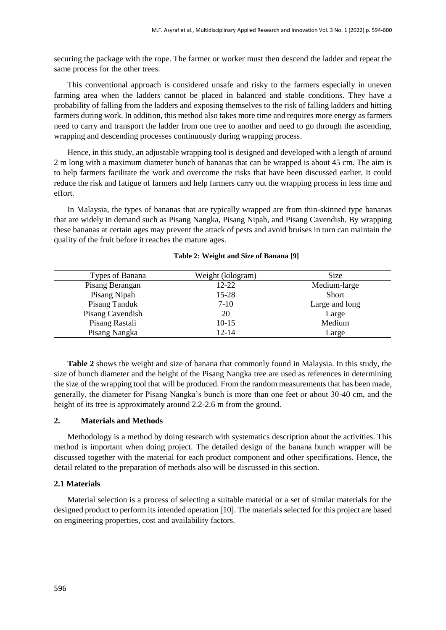securing the package with the rope. The farmer or worker must then descend the ladder and repeat the same process for the other trees.

This conventional approach is considered unsafe and risky to the farmers especially in uneven farming area when the ladders cannot be placed in balanced and stable conditions. They have a probability of falling from the ladders and exposing themselves to the risk of falling ladders and hitting farmers during work. In addition, this method also takes more time and requires more energy as farmers need to carry and transport the ladder from one tree to another and need to go through the ascending, wrapping and descending processes continuously during wrapping process.

Hence, in this study, an adjustable wrapping tool is designed and developed with a length of around 2 m long with a maximum diameter bunch of bananas that can be wrapped is about 45 cm. The aim is to help farmers facilitate the work and overcome the risks that have been discussed earlier. It could reduce the risk and fatigue of farmers and help farmers carry out the wrapping process in less time and effort.

In Malaysia, the types of bananas that are typically wrapped are from thin-skinned type bananas that are widely in demand such as Pisang Nangka, Pisang Nipah, and Pisang Cavendish. By wrapping these bananas at certain ages may prevent the attack of pests and avoid bruises in turn can maintain the quality of the fruit before it reaches the mature ages.

| Types of Banana  | Weight (kilogram) | <b>Size</b>    |
|------------------|-------------------|----------------|
| Pisang Berangan  | 12-22             | Medium-large   |
| Pisang Nipah     | 15-28             | <b>Short</b>   |
| Pisang Tanduk    | $7-10$            | Large and long |
| Pisang Cavendish | 20                | Large          |
| Pisang Rastali   | $10-15$           | Medium         |
| Pisang Nangka    | 12-14             | Large          |

**Table 2: Weight and Size of Banana [9]**

**Table 2** shows the weight and size of banana that commonly found in Malaysia. In this study, the size of bunch diameter and the height of the Pisang Nangka tree are used as references in determining the size of the wrapping tool that will be produced. From the random measurements that has been made, generally, the diameter for Pisang Nangka's bunch is more than one feet or about 30-40 cm, and the height of its tree is approximately around 2.2-2.6 m from the ground.

# **2. Materials and Methods**

Methodology is a method by doing research with systematics description about the activities. This method is important when doing project. The detailed design of the banana bunch wrapper will be discussed together with the material for each product component and other specifications. Hence, the detail related to the preparation of methods also will be discussed in this section.

### **2.1 Materials**

Material selection is a process of selecting a suitable material or a set of similar materials for the designed product to perform its intended operation [10]. The materials selected for this project are based on engineering properties, cost and availability factors.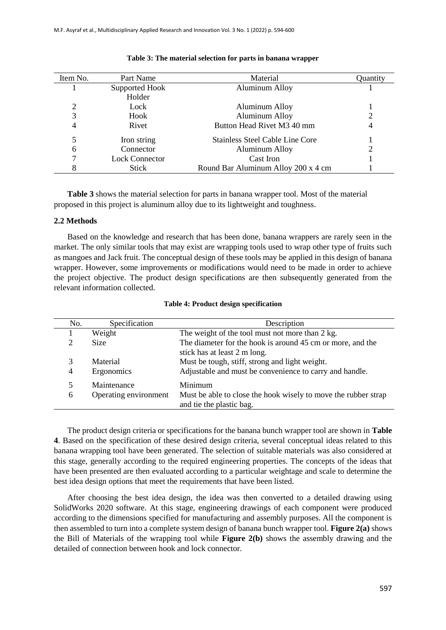| Item No.       | Part Name             | Material                               | Quantity |
|----------------|-----------------------|----------------------------------------|----------|
|                | Supported Hook        | <b>Aluminum Alloy</b>                  |          |
|                | Holder                |                                        |          |
| $\overline{2}$ | Lock                  | Aluminum Alloy                         |          |
| 3              | Hook                  | <b>Aluminum Alloy</b>                  |          |
| 4              | Rivet                 | Button Head Rivet M3 40 mm             | 4        |
| 5              | Iron string           | <b>Stainless Steel Cable Line Core</b> |          |
| 6              | Connector             | <b>Aluminum Alloy</b>                  |          |
| 7              | <b>Lock Connector</b> | Cast Iron                              |          |
| 8              | <b>Stick</b>          | Round Bar Aluminum Alloy 200 x 4 cm    |          |

#### **Table 3: The material selection for parts in banana wrapper**

**Table 3** shows the material selection for parts in banana wrapper tool. Most of the material proposed in this project is aluminum alloy due to its lightweight and toughness.

#### **2.2 Methods**

Based on the knowledge and research that has been done, banana wrappers are rarely seen in the market. The only similar tools that may exist are wrapping tools used to wrap other type of fruits such as mangoes and Jack fruit. The conceptual design of these tools may be applied in this design of banana wrapper. However, some improvements or modifications would need to be made in order to achieve the project objective. The product design specifications are then subsequently generated from the relevant information collected.

| No. | Specification         | Description                                                                                |
|-----|-----------------------|--------------------------------------------------------------------------------------------|
|     | Weight                | The weight of the tool must not more than 2 kg.                                            |
| 2   | <b>Size</b>           | The diameter for the hook is around 45 cm or more, and the                                 |
|     |                       | stick has at least 2 m long.                                                               |
| 3   | Material              | Must be tough, stiff, strong and light weight.                                             |
| 4   | Ergonomics            | Adjustable and must be convenience to carry and handle.                                    |
| 5   | Maintenance           | Minimum                                                                                    |
| 6   | Operating environment | Must be able to close the hook wisely to move the rubber strap<br>and tie the plastic bag. |

|  |  | <b>Table 4: Product design specification</b> |
|--|--|----------------------------------------------|
|  |  |                                              |

The product design criteria or specifications for the banana bunch wrapper tool are shown in **Table 4**. Based on the specification of these desired design criteria, several conceptual ideas related to this banana wrapping tool have been generated. The selection of suitable materials was also considered at this stage, generally according to the required engineering properties. The concepts of the ideas that have been presented are then evaluated according to a particular weightage and scale to determine the best idea design options that meet the requirements that have been listed.

After choosing the best idea design, the idea was then converted to a detailed drawing using SolidWorks 2020 software. At this stage, engineering drawings of each component were produced according to the dimensions specified for manufacturing and assembly purposes. All the component is then assembled to turn into a complete system design of banana bunch wrapper tool. **Figure 2(a)** shows the Bill of Materials of the wrapping tool while **Figure 2(b)** shows the assembly drawing and the detailed of connection between hook and lock connector.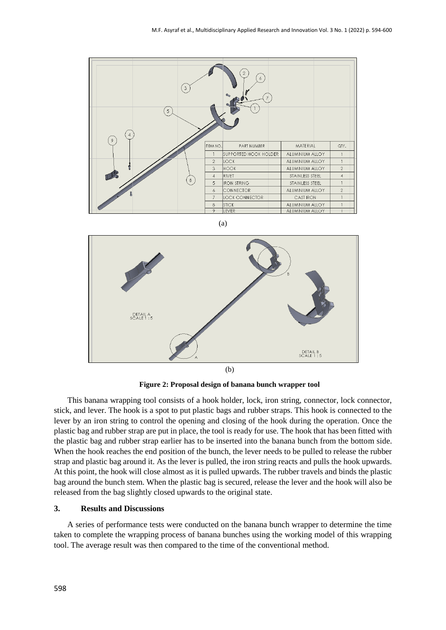

(a)



**Figure 2: Proposal design of banana bunch wrapper tool**

This banana wrapping tool consists of a hook holder, lock, iron string, connector, lock connector, stick, and lever. The hook is a spot to put plastic bags and rubber straps. This hook is connected to the lever by an iron string to control the opening and closing of the hook during the operation. Once the plastic bag and rubber strap are put in place, the tool is ready for use. The hook that has been fitted with the plastic bag and rubber strap earlier has to be inserted into the banana bunch from the bottom side. When the hook reaches the end position of the bunch, the lever needs to be pulled to release the rubber strap and plastic bag around it. As the lever is pulled, the iron string reacts and pulls the hook upwards. At this point, the hook will close almost as it is pulled upwards. The rubber travels and binds the plastic bag around the bunch stem. When the plastic bag is secured, release the lever and the hook will also be released from the bag slightly closed upwards to the original state.

#### **3. Results and Discussions**

A series of performance tests were conducted on the banana bunch wrapper to determine the time taken to complete the wrapping process of banana bunches using the working model of this wrapping tool. The average result was then compared to the time of the conventional method.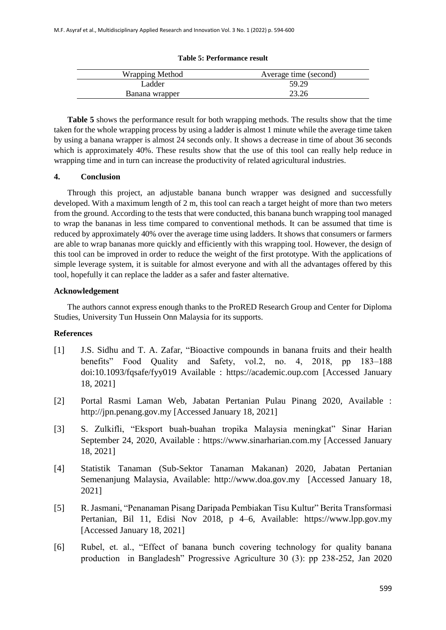|  |  | Table 5: Performance result |  |
|--|--|-----------------------------|--|
|--|--|-----------------------------|--|

| <b>Wrapping Method</b> | Average time (second) |  |
|------------------------|-----------------------|--|
| Ladder                 | 59.29                 |  |
| Banana wrapper         | 23.26                 |  |

**Table 5** shows the performance result for both wrapping methods. The results show that the time taken for the whole wrapping process by using a ladder is almost 1 minute while the average time taken by using a banana wrapper is almost 24 seconds only. It shows a decrease in time of about 36 seconds which is approximately 40%. These results show that the use of this tool can really help reduce in wrapping time and in turn can increase the productivity of related agricultural industries.

# **4. Conclusion**

Through this project, an adjustable banana bunch wrapper was designed and successfully developed. With a maximum length of 2 m, this tool can reach a target height of more than two meters from the ground. According to the tests that were conducted, this banana bunch wrapping tool managed to wrap the bananas in less time compared to conventional methods. It can be assumed that time is reduced by approximately 40% over the average time using ladders. It shows that consumers or farmers are able to wrap bananas more quickly and efficiently with this wrapping tool. However, the design of this tool can be improved in order to reduce the weight of the first prototype. With the applications of simple leverage system, it is suitable for almost everyone and with all the advantages offered by this tool, hopefully it can replace the ladder as a safer and faster alternative.

# **Acknowledgement**

The authors cannot express enough thanks to the ProRED Research Group and Center for Diploma Studies, University Tun Hussein Onn Malaysia for its supports.

# **References**

- [1] J.S. Sidhu and T. A. Zafar, "Bioactive compounds in banana fruits and their health benefits" Food Quality and Safety, vol.2, no. 4, 2018, pp 183–188 doi:10.1093/fqsafe/fyy019 Available : https://academic.oup.com [Accessed January 18, 2021]
- [2] Portal Rasmi Laman Web, Jabatan Pertanian Pulau Pinang 2020, Available : http://jpn.penang.gov.my [Accessed January 18, 2021]
- [3] S. Zulkifli, "Eksport buah-buahan tropika Malaysia meningkat" Sinar Harian September 24, 2020, Available : https://www.sinarharian.com.my [Accessed January 18, 2021]
- [4] Statistik Tanaman (Sub-Sektor Tanaman Makanan) 2020, Jabatan Pertanian Semenanjung Malaysia, Available: [http://www.doa.gov.my](http://www.doa.gov.my/index/resources/aktiviti_sumber/sumber_awam/maklumat_pertanian/perangkaan_tanaman/booklet_statistik_tanaman_2019.pdf) [Accessed January 18, 2021]
- [5] R.Jasmani, "Penanaman Pisang Daripada Pembiakan Tisu Kultur" Berita Transformasi Pertanian, Bil 11, Edisi Nov 2018, p 4–6, Available: [https://www.lpp.gov.my](https://www.lpp.gov.my/) [Accessed January 18, 2021]
- [6] Rubel, et. al., "Effect of banana bunch covering technology for quality banana production in Bangladesh" Progressive Agriculture 30 (3): pp 238-252, Jan 2020